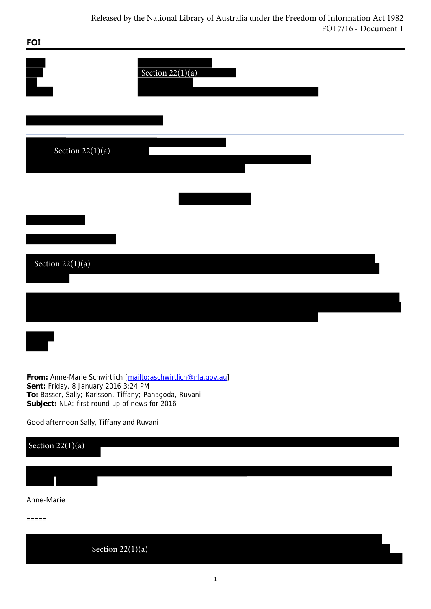| <b>FOI</b>                                                                                                                                                                                                       |                    |  |
|------------------------------------------------------------------------------------------------------------------------------------------------------------------------------------------------------------------|--------------------|--|
|                                                                                                                                                                                                                  | Section $22(1)(a)$ |  |
|                                                                                                                                                                                                                  |                    |  |
| Section $22(1)(a)$                                                                                                                                                                                               |                    |  |
|                                                                                                                                                                                                                  |                    |  |
|                                                                                                                                                                                                                  |                    |  |
| Section $22(1)(a)$                                                                                                                                                                                               |                    |  |
|                                                                                                                                                                                                                  |                    |  |
|                                                                                                                                                                                                                  |                    |  |
|                                                                                                                                                                                                                  |                    |  |
| From: Anne-Marie Schwirtlich [mailto:aschwirtlich@nla.gov.au]<br>Sent: Friday, 8 January 2016 3:24 PM<br>To: Basser, Sally; Karlsson, Tiffany; Panagoda, Ruvani<br>Subject: NLA: first round up of news for 2016 |                    |  |
| Good afternoon Sally, Tiffany and Ruvani                                                                                                                                                                         |                    |  |
| Section $22(1)(a)$                                                                                                                                                                                               |                    |  |
|                                                                                                                                                                                                                  |                    |  |

## Anne‐Marie

=====

Section  $22(1)(a)$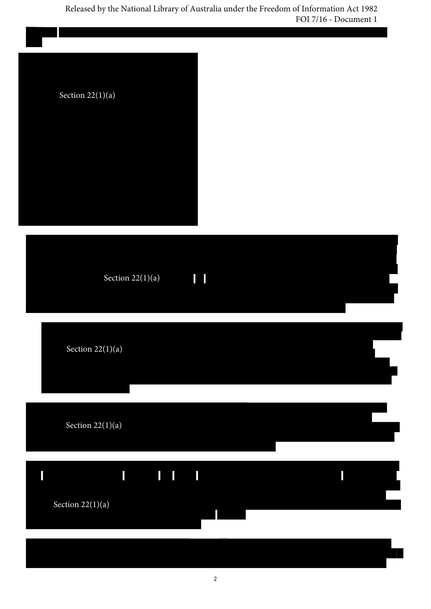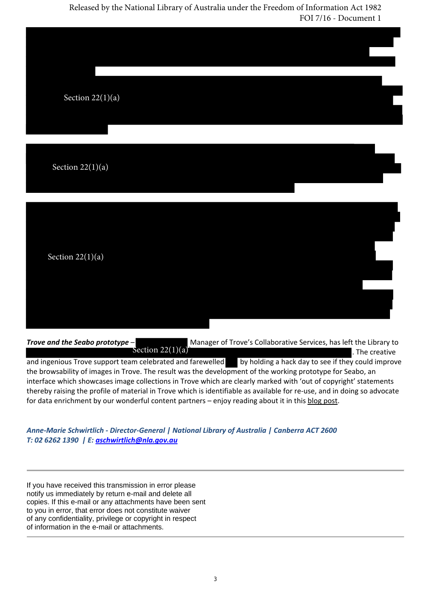| Section $\overline{22(1)(a)}$ |  |  |
|-------------------------------|--|--|
| Section $22(1)(a)$            |  |  |
| Section $22(1)(a)$            |  |  |

*Trove* and the *Seabo prototype* – **Manager of Trove's Collaborative Services, has left the Library to <b>Manager** of Trove's Collaborative Services, has left the Library to . The creative and ingenious Trove support team celebrated and farewelled by holding a hack day to see if they could improve the browsability of images in Trove. The result was the development of the working prototype for Seabo, an interface which showcases image collections in Trove which are clearly marked with 'out of copyright' statements thereby raising the profile of material in Trove which is identifiable as available for re‐use, and in doing so advocate for data enrichment by our wonderful content partners - enjoy reading about it in this blog post. Section  $22(1)(a)$ 

*Anne‐Marie Schwirtlich ‐ Director‐General | National Library of Australia | Canberra ACT 2600 T: 02 6262 1390 | E: aschwirtlich@nla.gov.au*

If you have received this transmission in error please notify us immediately by return e-mail and delete all copies. If this e-mail or any attachments have been sent to you in error, that error does not constitute waiver of any confidentiality, privilege or copyright in respect of information in the e-mail or attachments.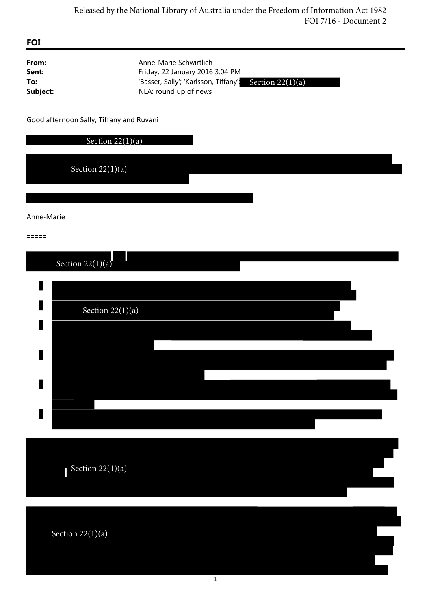| <b>FOI</b>                        |                                                                                                                                              |
|-----------------------------------|----------------------------------------------------------------------------------------------------------------------------------------------|
| From:<br>Sent:<br>To:<br>Subject: | Anne-Marie Schwirtlich<br>Friday, 22 January 2016 3:04 PM<br>'Basser, Sally'; 'Karlsson, Tiffany'; Section 22(1)(a)<br>NLA: round up of news |
|                                   | Good afternoon Sally, Tiffany and Ruvani                                                                                                     |
|                                   | Section $22(1)(a)$                                                                                                                           |
|                                   | Section $22(1)(a)$                                                                                                                           |
|                                   |                                                                                                                                              |
| Anne-Marie                        |                                                                                                                                              |
| $=$ $=$ $=$ $=$                   |                                                                                                                                              |
|                                   | Section $22(1)(a)$                                                                                                                           |
|                                   |                                                                                                                                              |
|                                   | Section $22(1)(a)$                                                                                                                           |
|                                   |                                                                                                                                              |
|                                   |                                                                                                                                              |
|                                   |                                                                                                                                              |
|                                   |                                                                                                                                              |
|                                   |                                                                                                                                              |
|                                   | Section 22(1)(a)                                                                                                                             |
|                                   | Section $22(1)(a)$                                                                                                                           |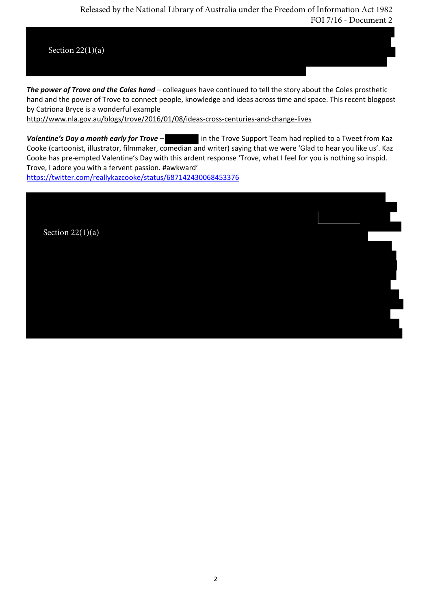

*The power of Trove and the Coles hand* – colleagues have continued to tell the story about the Coles prosthetic hand and the power of Trove to connect people, knowledge and ideas across time and space. This recent blogpost by Catriona Bryce is a wonderful example

http://www.nla.gov.au/blogs/trove/2016/01/08/ideas‐cross‐centuries‐and‐change‐lives

*Valentine's Day a month early for Trove* – in the Trove Support Team had replied to a Tweet from Kaz Cooke (cartoonist, illustrator, filmmaker, comedian and writer) saying that we were 'Glad to hear you like us'. Kaz Cooke has pre-empted Valentine's Day with this ardent response 'Trove, what I feel for you is nothing so inspid. Trove, I adore you with a fervent passion. #awkward' https://twitter.com/reallykazcooke/status/687142430068453376

Section  $22(1)(a)$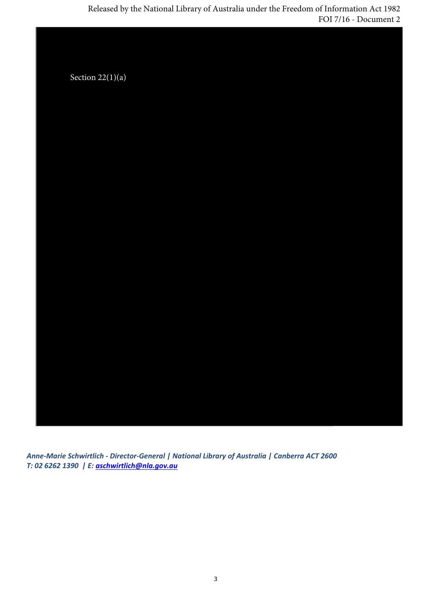Section  $22(1)(a)$ 

*Anne‐Marie Schwirtlich ‐ Director‐General | National Library of Australia | Canberra ACT 2600 T: 02 6262 1390 | E: aschwirtlich@nla.gov.au*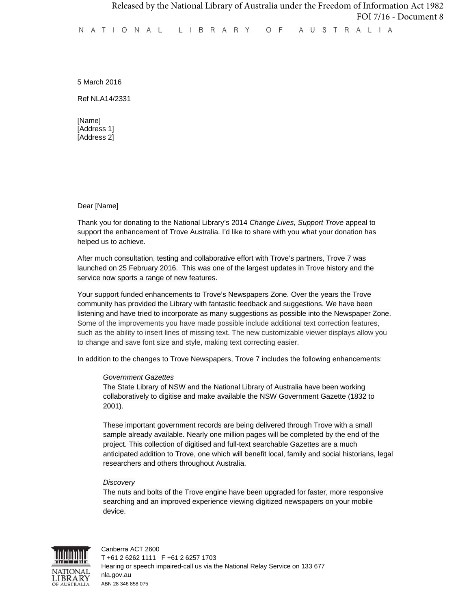5 March 2016

Ref NLA14/2331

[Name] [Address 1] [Address 2]

Dear [Name]

Thank you for donating to the National Library's 2014 *Change Lives, Support Trove* appeal to support the enhancement of Trove Australia. I'd like to share with you what your donation has helped us to achieve.

After much consultation, testing and collaborative effort with Trove's partners, Trove 7 was launched on 25 February 2016. This was one of the largest updates in Trove history and the service now sports a range of new features.

Your support funded enhancements to Trove's Newspapers Zone. Over the years the Trove community has provided the Library with fantastic feedback and suggestions. We have been listening and have tried to incorporate as many suggestions as possible into the Newspaper Zone. Some of the improvements you have made possible include additional text correction features, such as the ability to insert lines of missing text. The new customizable viewer displays allow you to change and save font size and style, making text correcting easier.

In addition to the changes to Trove Newspapers, Trove 7 includes the following enhancements:

#### *Government Gazettes*

The State Library of NSW and the National Library of Australia have been working collaboratively to digitise and make available the NSW Government Gazette (1832 to 2001).

These important government records are being delivered through Trove with a small sample already available. Nearly one million pages will be completed by the end of the project. This collection of digitised and full-text searchable Gazettes are a much anticipated addition to Trove, one which will benefit local, family and social historians, legal researchers and others throughout Australia.

#### *Discovery*

The nuts and bolts of the Trove engine have been upgraded for faster, more responsive searching and an improved experience viewing digitized newspapers on your mobile device.

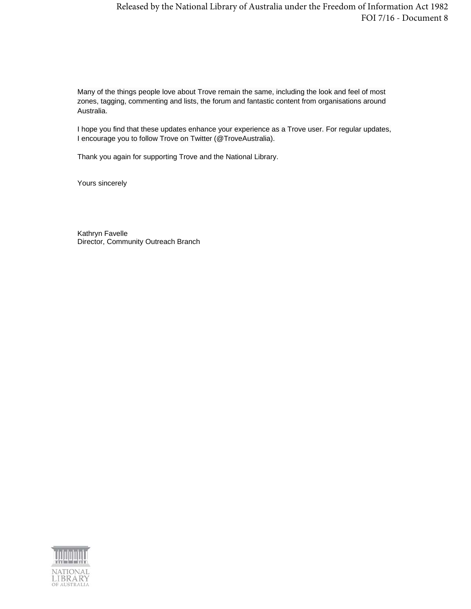Many of the things people love about Trove remain the same, including the look and feel of most zones, tagging, commenting and lists, the forum and fantastic content from organisations around Australia.

I hope you find that these updates enhance your experience as a Trove user. For regular updates, I encourage you to follow Trove on Twitter (@TroveAustralia).

Thank you again for supporting Trove and the National Library.

Yours sincerely

Kathryn Favelle Director, Community Outreach Branch

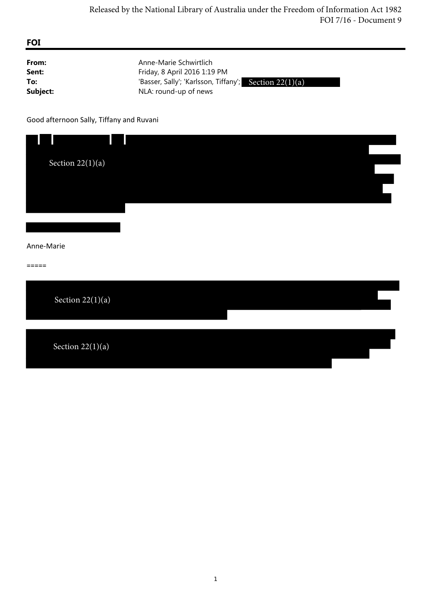| From:    | Anne-Marie Schwirtlich                                 |
|----------|--------------------------------------------------------|
| Sent:    | Friday, 8 April 2016 1:19 PM                           |
| To:      | 'Basser, Sally'; 'Karlsson, Tiffany'; Section 22(1)(a) |
| Subject: | NLA: round-up of news                                  |

Good afternoon Sally, Tiffany and Ruvani

| Section $22(1)(a)$  |  |  |
|---------------------|--|--|
| Anne-Marie<br>===== |  |  |
| Section $22(1)(a)$  |  |  |
| Section $22(1)(a)$  |  |  |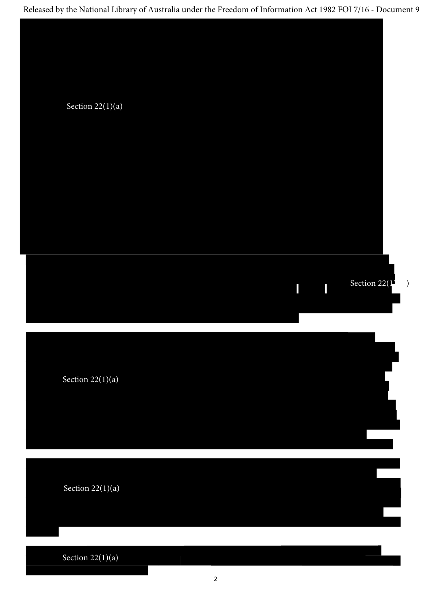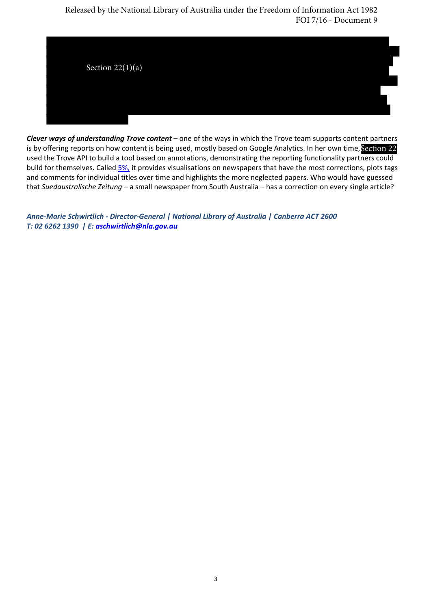

*Clever ways of understanding Trove content* – one of the ways in which the Trove team supports content partners is by offering reports on how content is being used, mostly based on Google Analytics. In her own time, Section 22 used the Trove API to build a tool based on annotations, demonstrating the reporting functionality partners could build for themselves. Called 5%, it provides visualisations on newspapers that have the most corrections, plots tags and comments for individual titles over time and highlights the more neglected papers. Who would have guessed that *Suedaustralische Zeitung* – a small newspaper from South Australia – has a correction on every single article?

*Anne‐Marie Schwirtlich ‐ Director‐General | National Library of Australia | Canberra ACT 2600 T: 02 6262 1390 | E: aschwirtlich@nla.gov.au*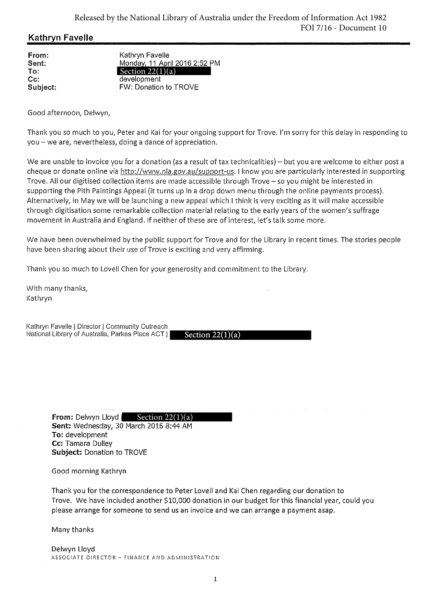# **Kathryn Favelle**

From: Sent: To: Cc: Subject:

Kathryn Favelle Monday, 11 April 2016 2:52 PM Section  $22(1)(a)$ <br>development FW: Donation to TROVE

Good afternoon, Delwyn,

Thank you so much to you, Peter and Kai for your ongoing support for Trove. I'm sorry for this delay in responding to you - we are, nevertheless, doing a dance of appreciation.

We are unable to invoice you for a donation (as a result of tax technicalities) – but you are welcome to either post a cheque or donate online via http://www.nla.gov.au/support-us. I know you are particularly interested in supporting Trove. All our digitised collection items are made accessible through Trove - so you might be interested in supporting the Pith Paintings Appeal (it turns up in a drop down menu through the online payments process). Alternatively, in May we will be launching a new appeal which I think is very exciting as it will make accessible through digitisation some remarkable collection material relating to the early years of the women's suffrage movement in Australia and England. If neither of these are of interest, let's talk some more.

We have been overwhelmed by the public support for Trove and for the Library in recent times. The stories people have been sharing about their use of Trove is exciting and very affirming.

Thank you so much to Lovell Chen for your generosity and commitment to the Library.

With many thanks, Kathrvn

Kathryn Favelle | Director | Community Outreach National Library of Australia, Parkes Place ACT |

Section  $22(1)(a)$ 

From: Delwyn Lloyd **Section 22(1)(a)**<br>Sent: Wednesday, 30 March 2016 8:44 AM To: development Cc: Tamara Dulley Subject: Donation to TROVE

Good morning Kathryn

Thank you for the correspondence to Peter Lovell and Kai Chen regarding our donation to Trove. We have included another \$10,000 donation in our budget for this financial year, could you please arrange for someone to send us an invoice and we can arrange a payment asap.

Many thanks

Delwyn Lloyd ASSOCIATE DIRECTOR - FINANCE AND ADMINISTRATION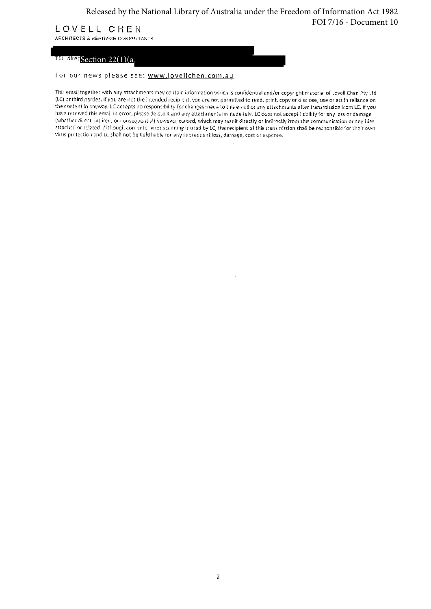# LOVELL CHEN

ARCHITECTS & HERITAGE CONSULTANTS

# I<sup>EL direc</sup>Section 22(1)(a

For our news please see: www.lovellchen.com.au

This email together with any attachments may contain information which is confidential and/or copyright material of Lovell Chen Pty Ltd (LC) or third parties. If you are not the intended recipient, you are not permitted to read, print, copy or disclose, use or act in reliance on the content in anyway. LC accepts no responsibility for changes made to this email or any attachments after transmission from LC. If you have received this email in error, please delete it and any attachments immediately. LC does not accept liability for any loss or damage (whether direct, indirect or consequential) however caused, which may result directly or indirectly from this communication or any files attached or related. Although computer virus scanning is used by LC, the recipient of this transmission shall be responsible for their own virus protection and LC shall not be held liable for any subsequent loss, damage, cost or exponse.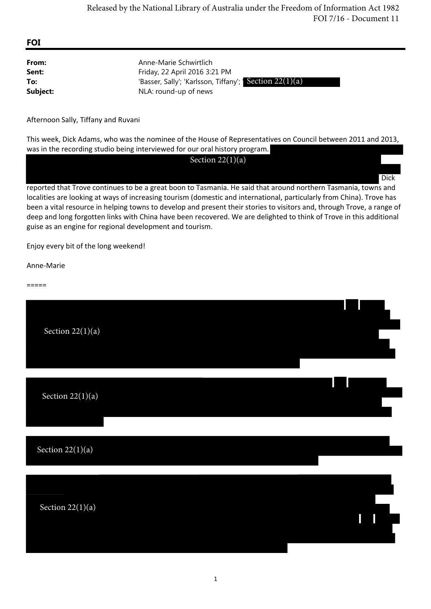## **FOI**

| From:    | Anne-Marie Schwirtlich                                   |
|----------|----------------------------------------------------------|
| Sent:    | Friday, 22 April 2016 3:21 PM                            |
| To:      | 'Basser, Sally'; 'Karlsson, Tiffany'; Section $22(1)(a)$ |
| Subject: | NLA: round-up of news                                    |

Afternoon Sally, Tiffany and Ruvani

This week, Dick Adams, who was the nominee of the House of Representatives on Council between 2011 and 2013, was in the recording studio being interviewed for our oral history program.